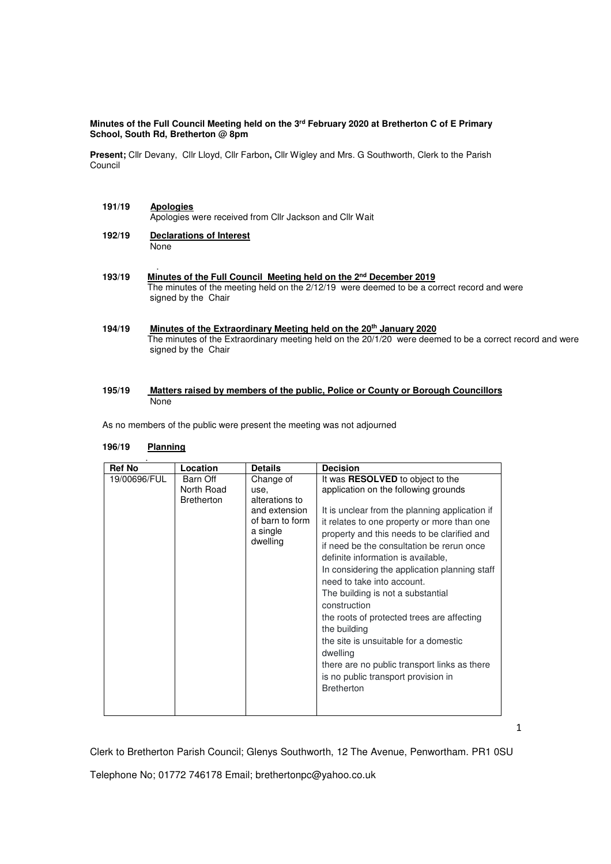### **Minutes of the Full Council Meeting held on the 3rd February 2020 at Bretherton C of E Primary School, South Rd, Bretherton @ 8pm**

**Present;** Cllr Devany, Cllr Lloyd, Cllr Farbon**,** Cllr Wigley and Mrs. G Southworth, Clerk to the Parish Council

- **191/19 Apologies** Apologies were received from Cllr Jackson and Cllr Wait
- **192/19 Declarations of Interest None**
- . **193/19 Minutes of the Full Council Meeting held on the 2nd December 2019** The minutes of the meeting held on the 2/12/19 were deemed to be a correct record and were signed by the Chair
- **194/19 Minutes of the Extraordinary Meeting held on the 20 th January 2020** The minutes of the Extraordinary meeting held on the 20/1/20 were deemed to be a correct record and were signed by the Chair

### **195/19 Matters raised by members of the public, Police or County or Borough Councillors**  None

As no members of the public were present the meeting was not adjourned

# **196/19 Planning**

| <b>Ref No</b> | Location               | <b>Details</b>       | <b>Decision</b>                                |
|---------------|------------------------|----------------------|------------------------------------------------|
| 19/00696/FUL  | Barn Off<br>North Road | Change of<br>use.    | It was <b>RESOLVED</b> to object to the        |
|               |                        |                      | application on the following grounds           |
|               | <b>Bretherton</b>      | alterations to       |                                                |
|               |                        | and extension        | It is unclear from the planning application if |
|               |                        | of barn to form      | it relates to one property or more than one    |
|               |                        | a single<br>dwelling | property and this needs to be clarified and    |
|               |                        |                      | if need be the consultation be rerun once      |
|               |                        |                      | definite information is available,             |
|               |                        |                      | In considering the application planning staff  |
|               |                        |                      |                                                |
|               |                        |                      | need to take into account.                     |
|               |                        |                      | The building is not a substantial              |
|               |                        |                      | construction                                   |
|               |                        |                      | the roots of protected trees are affecting     |
|               |                        |                      | the building                                   |
|               |                        |                      | the site is unsuitable for a domestic          |
|               |                        |                      |                                                |
|               |                        |                      | dwelling                                       |
|               |                        |                      | there are no public transport links as there   |
|               |                        |                      | is no public transport provision in            |
|               |                        |                      | <b>Bretherton</b>                              |
|               |                        |                      |                                                |
|               |                        |                      |                                                |

Clerk to Bretherton Parish Council; Glenys Southworth, 12 The Avenue, Penwortham. PR1 0SU

Telephone No; 01772 746178 Email; brethertonpc@yahoo.co.uk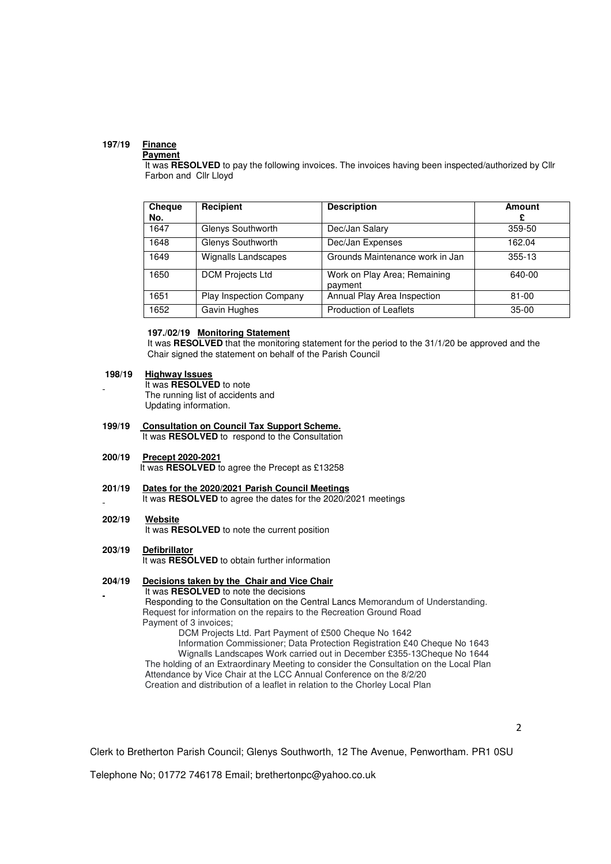## **197/19 Finance**

#### **Payment**

It was RESOLVED to pay the following invoices. The invoices having been inspected/authorized by Cllr Farbon and Cllr Lloyd

| <b>Cheque</b><br>No. | Recipient                      | <b>Description</b>                      | Amount<br>£ |
|----------------------|--------------------------------|-----------------------------------------|-------------|
| 1647                 | Glenys Southworth              | Dec/Jan Salary                          | 359-50      |
| 1648                 | Glenys Southworth              | Dec/Jan Expenses                        | 162.04      |
| 1649                 | Wignalls Landscapes            | Grounds Maintenance work in Jan         | 355-13      |
| 1650                 | <b>DCM Projects Ltd</b>        | Work on Play Area; Remaining<br>payment | 640-00      |
| 1651                 | <b>Play Inspection Company</b> | Annual Play Area Inspection             | $81 - 00$   |
| 1652                 | Gavin Hughes                   | <b>Production of Leaflets</b>           | $35-00$     |

## **197./02/19 Monitoring Statement**

 It was **RESOLVED** that the monitoring statement for the period to the 31/1/20 be approved and the Chair signed the statement on behalf of the Parish Council

#### **198/19 Highway Issues**

It was **RESOLVED** to note The running list of accidents and Updating information.

- **199/19 Consultation on Council Tax Support Scheme.** It was **RESOLVED** to respond to the Consultation
- **200/19 Precept 2020-2021**  It was **RESOLVED** to agree the Precept as £13258
- **201/19 Dates for the 2020/2021 Parish Council Meetings** It was **RESOLVED** to agree the dates for the 2020/2021 meetings
- **202/19 Website**

It was **RESOLVED** to note the current position

**203/19 Defibrillator** 

It was **RESOLVED** to obtain further information

#### **204/19 Decisions taken by the Chair and Vice Chair** It was **RESOLVED** to note the decisions

 Responding to the Consultation on the Central Lancs Memorandum of Understanding. Request for information on the repairs to the Recreation Ground Road Payment of 3 invoices;

DCM Projects Ltd. Part Payment of £500 Cheque No 1642

 Information Commissioner; Data Protection Registration £40 Cheque No 1643 Wignalls Landscapes Work carried out in December £355-13Cheque No 1644 The holding of an Extraordinary Meeting to consider the Consultation on the Local Plan Attendance by Vice Chair at the LCC Annual Conference on the 8/2/20 Creation and distribution of a leaflet in relation to the Chorley Local Plan

Clerk to Bretherton Parish Council; Glenys Southworth, 12 The Avenue, Penwortham. PR1 0SU

Telephone No; 01772 746178 Email; brethertonpc@yahoo.co.uk